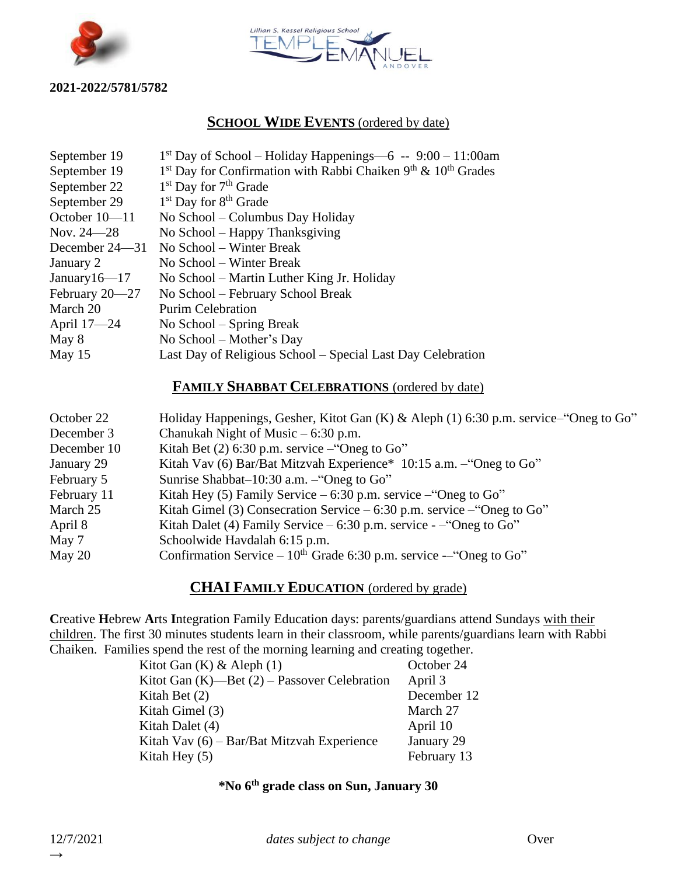



### **2021-2022/5781/5782**

### **SCHOOL WIDE EVENTS** (ordered by date)

| $1st$ Day of School – Holiday Happenings—6 -- 9:00 – 11:00am                                      |
|---------------------------------------------------------------------------------------------------|
| 1 <sup>st</sup> Day for Confirmation with Rabbi Chaiken 9 <sup>th</sup> & 10 <sup>th</sup> Grades |
| $1st$ Day for $7th$ Grade                                                                         |
| $1st$ Day for $8th$ Grade                                                                         |
| No School – Columbus Day Holiday                                                                  |
| No School – Happy Thanksgiving                                                                    |
| No School – Winter Break                                                                          |
| No School – Winter Break                                                                          |
| No School – Martin Luther King Jr. Holiday                                                        |
| No School – February School Break                                                                 |
| <b>Purim Celebration</b>                                                                          |
| No School – Spring Break                                                                          |
| No School – Mother's Day                                                                          |
| Last Day of Religious School – Special Last Day Celebration                                       |
|                                                                                                   |

# **FAMILY SHABBAT CELEBRATIONS** (ordered by date)

| October 22  | Holiday Happenings, Gesher, Kitot Gan (K) & Aleph (1) 6:30 p.m. service—"Oneg to Go" |  |
|-------------|--------------------------------------------------------------------------------------|--|
| December 3  | Chanukah Night of Music $-6:30$ p.m.                                                 |  |
| December 10 | Kitah Bet $(2)$ 6:30 p.m. service - "Oneg to Go"                                     |  |
| January 29  | Kitah Vav (6) Bar/Bat Mitzvah Experience* 10:15 a.m. - "Oneg to Go"                  |  |
| February 5  | Sunrise Shabbat-10:30 a.m. - "Oneg to Go"                                            |  |
| February 11 | Kitah Hey (5) Family Service $-6:30$ p.m. service $-$ "Oneg to Go"                   |  |
| March 25    | Kitah Gimel (3) Consecration Service $-6:30$ p.m. service $-$ "Oneg to Go"           |  |
| April 8     | Kitah Dalet (4) Family Service $-6:30$ p.m. service $-$ "Oneg to Go"                 |  |
| May 7       | Schoolwide Havdalah 6:15 p.m.                                                        |  |
| May 20      | Confirmation Service – $10^{th}$ Grade 6:30 p.m. service – "Oneg to Go"              |  |
|             |                                                                                      |  |

# **CHAI FAMILY EDUCATION** (ordered by grade)

**C**reative **H**ebrew **A**rts **I**ntegration Family Education days: parents/guardians attend Sundays with their children. The first 30 minutes students learn in their classroom, while parents/guardians learn with Rabbi Chaiken. Families spend the rest of the morning learning and creating together.

| Kitot Gan $(K)$ & Aleph $(1)$                     | October 24  |
|---------------------------------------------------|-------------|
| Kitot Gan $(K)$ —Bet $(2)$ – Passover Celebration | April 3     |
| Kitah Bet $(2)$                                   | December 12 |
| Kitah Gimel (3)                                   | March 27    |
| Kitah Dalet (4)                                   | April 10    |
| Kitah Vav (6) – Bar/Bat Mitzvah Experience        | January 29  |
| Kitah Hey $(5)$                                   | February 13 |

## **\*No 6th grade class on Sun, January 30**

12/7/2021 *dates subject to change* Over